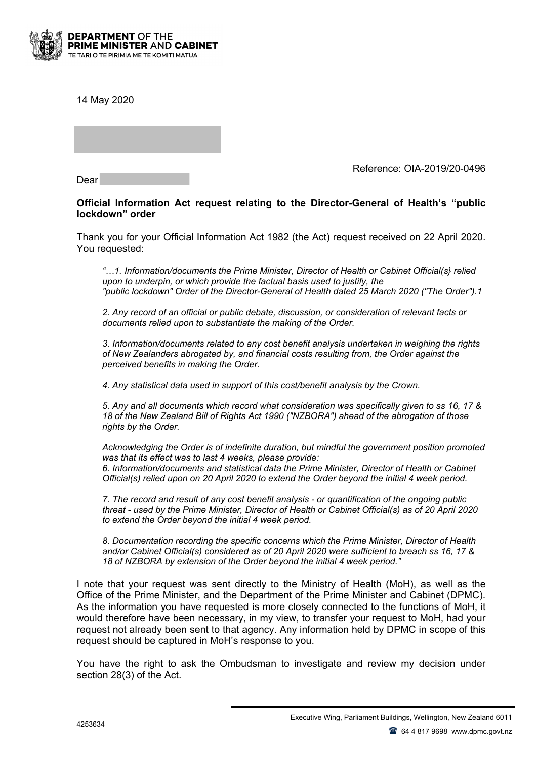

14 May 2020

Reference: OIA-2019/20-0496

Dear

## **Official Information Act request relating to the Director-General of Health's "public lockdown" order**

Thank you for your Official Information Act 1982 (the Act) request received on 22 April 2020. You requested:

*"…1. Information/documents the Prime Minister, Director of Health or Cabinet Official(s} relied upon to underpin, or which provide the factual basis used to justify, the "public lockdown" Order of the Director-General of Health dated 25 March 2020 ("The Order").1*

*2. Any record of an official or public debate, discussion, or consideration of relevant facts or documents relied upon to substantiate the making of the Order.*

*3. Information/documents related to any cost benefit analysis undertaken in weighing the rights of New Zealanders abrogated by, and financial costs resulting from, the Order against the perceived benefits in making the Order.*

*4. Any statistical data used in support of this cost/benefit analysis by the Crown.*

*5. Any and all documents which record what consideration was specifically given to ss 16, 17 & 18 of the New Zealand Bill of Rights Act 1990 ("NZBORA") ahead of the abrogation of those rights by the Order.*

*Acknowledging the Order is of indefinite duration, but mindful the government position promoted was that its effect was to last 4 weeks, please provide: 6. Information/documents and statistical data the Prime Minister, Director of Health or Cabinet Official(s) relied upon on 20 April 2020 to extend the Order beyond the initial 4 week period.*

*7. The record and result of any cost benefit analysis - or quantification of the ongoing public threat - used by the Prime Minister, Director of Health or Cabinet Official(s) as of 20 April 2020 to extend the Order beyond the initial 4 week period.*

*8. Documentation recording the specific concerns which the Prime Minister, Director of Health and/or Cabinet Official(s) considered as of 20 April 2020 were sufficient to breach ss 16, 17 & 18 of NZBORA by extension of the Order beyond the initial 4 week period."*

I note that your request was sent directly to the Ministry of Health (MoH), as well as the Office of the Prime Minister, and the Department of the Prime Minister and Cabinet (DPMC). As the information you have requested is more closely connected to the functions of MoH, it would therefore have been necessary, in my view, to transfer your request to MoH, had your request not already been sent to that agency. Any information held by DPMC in scope of this request should be captured in MoH's response to you.

You have the right to ask the Ombudsman to investigate and review my decision under section 28(3) of the Act.